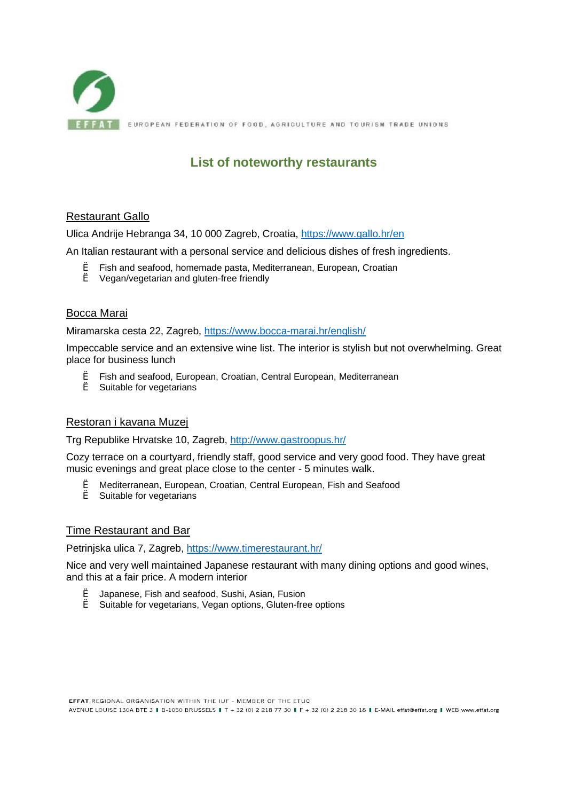

# **List of noteworthy restaurants**

#### Restaurant Gallo

Ulica Andrije Hebranga 34, 10 000 Zagreb, Croatia, <https://www.gallo.hr/en>

An Italian restaurant with a personal service and delicious dishes of fresh ingredients.

- è Fish and seafood, homemade pasta, Mediterranean, European, Croatian
- è Vegan/vegetarian and gluten-free friendly

#### Bocca Marai

Miramarska cesta 22, Zagreb, <https://www.bocca-marai.hr/english/>

Impeccable service and an extensive wine list. The interior is stylish but not overwhelming. Great place for business lunch

- è Fish and seafood, European, Croatian, Central European, Mediterranean
- è Suitable for vegetarians

#### Restoran i kavana Muzej

Trg Republike Hrvatske 10, Zagreb,<http://www.gastroopus.hr/>

Cozy terrace on a courtyard, friendly staff, good service and very good food. They have great music evenings and great place close to the center - 5 minutes walk.

- è Mediterranean, European, Croatian, Central European, Fish and Seafood
- è Suitable for vegetarians

#### Time Restaurant and Bar

Petrinjska ulica 7, Zagreb, https://www.timerestaurant.hr/

Nice and very well maintained Japanese restaurant with many dining options and good wines, and this at a fair price. A modern interior

- è Japanese, Fish and seafood, Sushi, Asian, Fusion
- è Suitable for vegetarians, Vegan options, Gluten-free options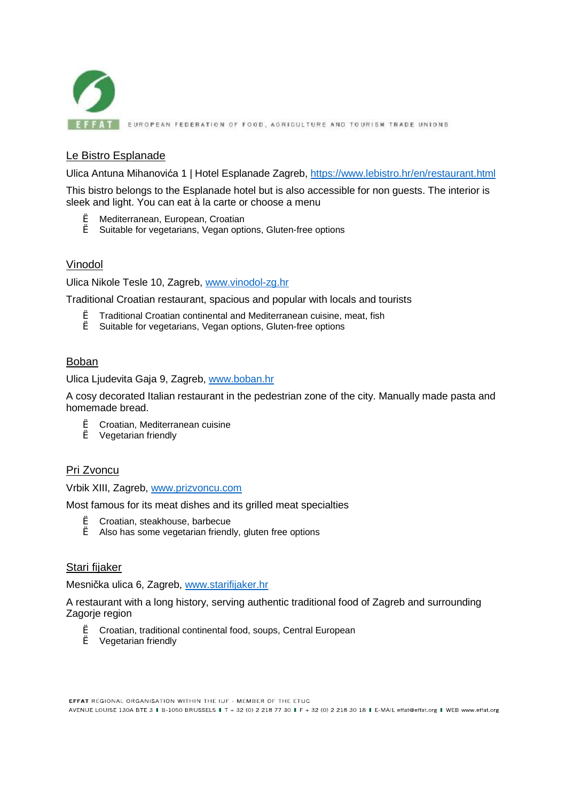

**FFAT** EUROPEAN FEDERATION OF FOOD, AGRICULTURE AND TOURISM TRADE UNIONS

# Le Bistro Esplanade

Ulica Antuna Mihanovića 1 | Hotel Esplanade Zagreb, <https://www.lebistro.hr/en/restaurant.html>

This bistro belongs to the Esplanade hotel but is also accessible for non guests. The interior is sleek and light. You can eat à la carte or choose a menu

- è Mediterranean, European, Croatian
- è Suitable for vegetarians, Vegan options, Gluten-free options

#### Vinodol

Ulica Nikole Tesle 10, Zagreb, [www.vinodol-zg.hr](http://www.vinodol-zg.hr) 

Traditional Croatian restaurant, spacious and popular with locals and tourists

- è Traditional Croatian continental and Mediterranean cuisine, meat, fish
- è Suitable for vegetarians, Vegan options, Gluten-free options

#### Boban

Ulica Ljudevita Gaja 9, Zagreb, [www.boban.hr](http://www.boban.hr)

A cosy decorated Italian restaurant in the pedestrian zone of the city. Manually made pasta and homemade bread.

- è Croatian, Mediterranean cuisine
- è Vegetarian friendly

#### Pri Zvoncu

Vrbik XIII, Zagreb, [www.prizvoncu.com](http://www.prizvoncu.com)

Most famous for its meat dishes and its grilled meat specialties

- è Croatian, steakhouse, barbecue
- è Also has some vegetarian friendly, gluten free options

#### Stari fijaker

Mesnička ulica 6, Zagreb, [www.starifijaker.hr](http://www.starifijaker.hr)

A restaurant with a long history, serving authentic traditional food of Zagreb and surrounding Zagorje region

- è Croatian, traditional continental food, soups, Central European
- è Vegetarian friendly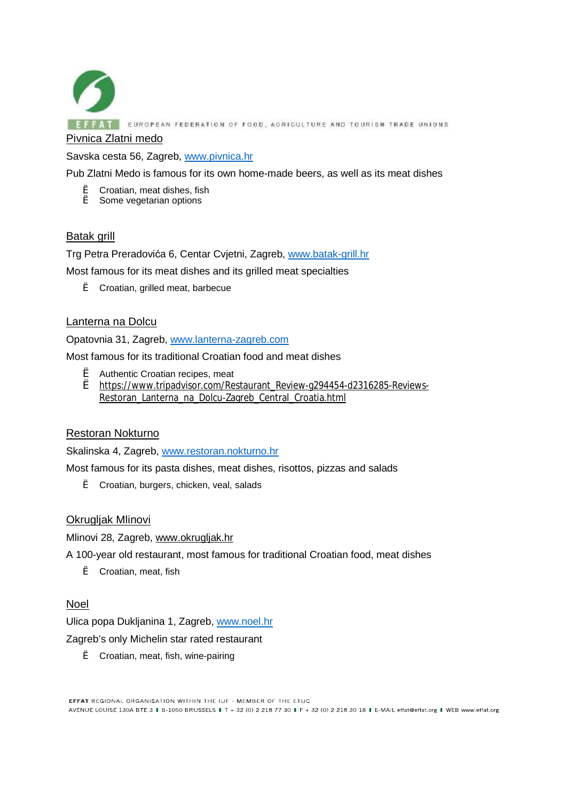

Savska cesta 56, Zagreb, [www.pivnica.hr](http://www.pivnica.hr) 

Pub Zlatni Medo is famous for its own home-made beers, as well as its meat dishes

- è Croatian, meat dishes, fish
- è Some vegetarian options

## Batak grill

Trg Petra Preradovića 6, Centar Cvjetni, Zagreb, [www.batak-grill.hr](http://www.batak-grill.hr)

Most famous for its meat dishes and its grilled meat specialties

è Croatian, grilled meat, barbecue

## Lanterna na Dolcu

Opatovnia 31, Zagreb, [www.lanterna-zagreb.com](http://www.lanterna-zagreb.com) 

Most famous for its traditional Croatian food and meat dishes

- è Authentic Croatian recipes, meat
- è [https://www.tripadvisor.com/Restaurant\\_Review-g294454-d2316285-Reviews-](https://www.tripadvisor.com/Restaurant_Review-g294454-d2316285-Reviews)Restoran\_Lanterna\_na\_Dolcu-Zagreb\_Central\_Croatia.html

## Restoran Nokturno

Skalinska 4, Zagreb, [www.restoran.nokturno.hr](http://www.restoran.nokturno.hr) 

Most famous for its pasta dishes, meat dishes, risottos, pizzas and salads

è Croatian, burgers, chicken, veal, salads

## Okrugljak Mlinovi

Mlinovi 28, Zagreb, [www.okrugljak.hr](http://www.okrugljak.hr)

A 100-year old restaurant, most famous for traditional Croatian food, meat dishes

è Croatian, meat, fish

## Noel

Ulica popa Dukljanina 1, Zagreb, [www.noel.hr](http://www.noel.hr) 

Zagreb's only Michelin star rated restaurant

è Croatian, meat, fish, wine-pairing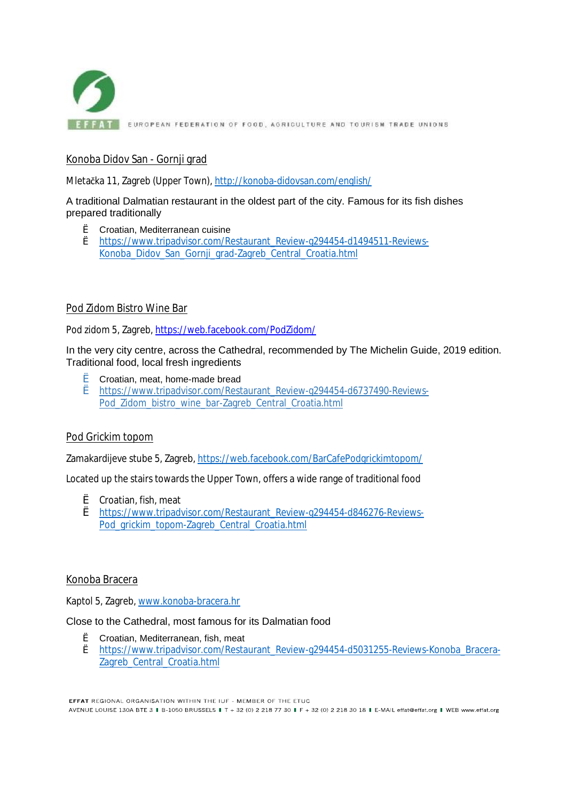

**EFFATE EUROPEAN FEDERATION OF FOOD, AGRICULTURE AND TOURISM TRADE UNIONS** 

# Konoba Didov San - Gornji grad

Mletačka 11, Zagreb (Upper Town), <http://konoba-didovsan.com/english/>

A traditional Dalmatian restaurant in the oldest part of the city. Famous for its fish dishes prepared traditionally

- è Croatian, Mediterranean cuisine
- è [https://www.tripadvisor.com/Restaurant\\_Review-g294454-d1494511-Reviews-](https://www.tripadvisor.com/Restaurant_Review-g294454-d1494511-Reviews)Konoba\_Didov\_San\_Gornji\_grad-Zagreb\_Central\_Croatia.html

## Pod Zidom Bistro Wine Bar

Pod zidom 5, Zagreb,<https://web.facebook.com/PodZidom/>

In the very city centre, across the Cathedral, recommended by The Michelin Guide, 2019 edition. Traditional food, local fresh ingredients

- è Croatian, meat, home-made bread
- è [https://www.tripadvisor.com/Restaurant\\_Review-g294454-d6737490-Reviews-](https://www.tripadvisor.com/Restaurant_Review-g294454-d6737490-Reviews)Pod Zidom\_bistro\_wine\_bar-Zagreb\_Central\_Croatia.html

## Pod Grickim topom

Zamakardijeve stube 5, Zagreb, <https://web.facebook.com/BarCafePodgrickimtopom/>

Located up the stairs towards the Upper Town, offers a wide range of traditional food

- è Croatian, fish, meat
- è [https://www.tripadvisor.com/Restaurant\\_Review-g294454-d846276-Reviews](https://www.tripadvisor.com/Restaurant_Review-g294454-d846276-Reviews)-Pod\_grickim\_topom-Zagreb\_Central\_Croatia.html

## Konoba Bracera

Kaptol 5, Zagreb, [www.konoba-bracera.hr](http://www.konoba-bracera.hr)

Close to the Cathedral, most famous for its Dalmatian food

- è Croatian, Mediterranean, fish, meat
- è [https://www.tripadvisor.com/Restaurant\\_Review-g294454-d5031255-Reviews-Konoba\\_Bracera-](https://www.tripadvisor.com/Restaurant_Review-g294454-d5031255-Reviews-Konoba_Bracera)Zagreb\_Central\_Croatia.html

FFFAT REGIONAL ORGANISATION WITHIN THE ILIE - MEMBER OF THE ETHC AVENUE LOUISE 130A BTE 3 | B-1050 BRUSSELS | T + 32 (0) 2 218 77 30 | F + 32 (0) 2 218 30 18 | E-MAIL effat@effat.org | WEB www.effat.org